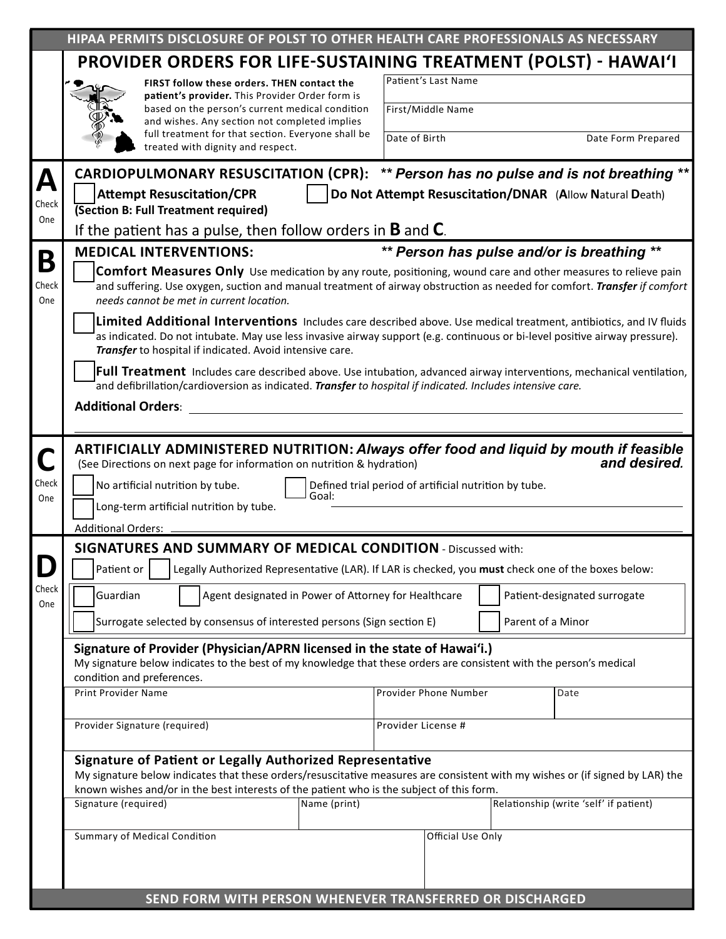|              | HIPAA PERMITS DISCLOSURE OF POLST TO OTHER HEALTH CARE PROFESSIONALS AS NECESSARY                                                                                                                                                                                                                            |                                                                                                                                                                                                    |                                                      |                       |                     |                                        |                    |  |  |  |  |  |  |
|--------------|--------------------------------------------------------------------------------------------------------------------------------------------------------------------------------------------------------------------------------------------------------------------------------------------------------------|----------------------------------------------------------------------------------------------------------------------------------------------------------------------------------------------------|------------------------------------------------------|-----------------------|---------------------|----------------------------------------|--------------------|--|--|--|--|--|--|
|              | <b>PROVIDER ORDERS FOR LIFE-SUSTAINING TREATMENT (POLST) - HAWAI'I</b>                                                                                                                                                                                                                                       |                                                                                                                                                                                                    |                                                      |                       |                     |                                        |                    |  |  |  |  |  |  |
|              |                                                                                                                                                                                                                                                                                                              | FIRST follow these orders. THEN contact the<br>patient's provider. This Provider Order form is<br>based on the person's current medical condition<br>and wishes. Any section not completed implies |                                                      |                       | Patient's Last Name |                                        |                    |  |  |  |  |  |  |
|              |                                                                                                                                                                                                                                                                                                              |                                                                                                                                                                                                    |                                                      |                       | First/Middle Name   |                                        |                    |  |  |  |  |  |  |
|              |                                                                                                                                                                                                                                                                                                              | full treatment for that section. Everyone shall be<br>treated with dignity and respect.                                                                                                            |                                                      | Date of Birth         |                     |                                        | Date Form Prepared |  |  |  |  |  |  |
| A            | CARDIOPULMONARY RESUSCITATION (CPR): ** Person has no pulse and is not breathing **                                                                                                                                                                                                                          |                                                                                                                                                                                                    |                                                      |                       |                     |                                        |                    |  |  |  |  |  |  |
| Check        | <b>Attempt Resuscitation/CPR</b><br>Do Not Attempt Resuscitation/DNAR (Allow Natural Death)<br><b>(Section B: Full Treatment required)</b>                                                                                                                                                                   |                                                                                                                                                                                                    |                                                      |                       |                     |                                        |                    |  |  |  |  |  |  |
| One          | If the patient has a pulse, then follow orders in <b>B</b> and <b>C</b> .                                                                                                                                                                                                                                    |                                                                                                                                                                                                    |                                                      |                       |                     |                                        |                    |  |  |  |  |  |  |
| B            | ** Person has pulse and/or is breathing **<br><b>MEDICAL INTERVENTIONS:</b>                                                                                                                                                                                                                                  |                                                                                                                                                                                                    |                                                      |                       |                     |                                        |                    |  |  |  |  |  |  |
| Check<br>One | <b>Comfort Measures Only</b> Use medication by any route, positioning, wound care and other measures to relieve pain<br>and suffering. Use oxygen, suction and manual treatment of airway obstruction as needed for comfort. Transfer if comfort<br>needs cannot be met in current location.                 |                                                                                                                                                                                                    |                                                      |                       |                     |                                        |                    |  |  |  |  |  |  |
|              | Limited Additional Interventions Includes care described above. Use medical treatment, antibiotics, and IV fluids<br>as indicated. Do not intubate. May use less invasive airway support (e.g. continuous or bi-level positive airway pressure).<br>Transfer to hospital if indicated. Avoid intensive care. |                                                                                                                                                                                                    |                                                      |                       |                     |                                        |                    |  |  |  |  |  |  |
|              | <b>Full Treatment</b> Includes care described above. Use intubation, advanced airway interventions, mechanical ventilation,<br>and defibrillation/cardioversion as indicated. Transfer to hospital if indicated. Includes intensive care.<br><b>Additional Orders:</b>                                       |                                                                                                                                                                                                    |                                                      |                       |                     |                                        |                    |  |  |  |  |  |  |
|              |                                                                                                                                                                                                                                                                                                              |                                                                                                                                                                                                    |                                                      |                       |                     |                                        |                    |  |  |  |  |  |  |
|              |                                                                                                                                                                                                                                                                                                              |                                                                                                                                                                                                    |                                                      |                       |                     |                                        |                    |  |  |  |  |  |  |
| $\Box$       | ARTIFICIALLY ADMINISTERED NUTRITION: Always offer food and liquid by mouth if feasible<br>and desired.<br>(See Directions on next page for information on nutrition & hydration)                                                                                                                             |                                                                                                                                                                                                    |                                                      |                       |                     |                                        |                    |  |  |  |  |  |  |
| Check<br>One | No artificial nutrition by tube.<br>Defined trial period of artificial nutrition by tube.<br>Goal:                                                                                                                                                                                                           |                                                                                                                                                                                                    |                                                      |                       |                     |                                        |                    |  |  |  |  |  |  |
|              | Long-term artificial nutrition by tube.                                                                                                                                                                                                                                                                      |                                                                                                                                                                                                    |                                                      |                       |                     |                                        |                    |  |  |  |  |  |  |
|              | <b>Additional Orders:</b><br><b>SIGNATURES AND SUMMARY OF MEDICAL CONDITION - Discussed with:</b>                                                                                                                                                                                                            |                                                                                                                                                                                                    |                                                      |                       |                     |                                        |                    |  |  |  |  |  |  |
|              | Patient or<br>Legally Authorized Representative (LAR). If LAR is checked, you must check one of the boxes below:                                                                                                                                                                                             |                                                                                                                                                                                                    |                                                      |                       |                     |                                        |                    |  |  |  |  |  |  |
| Check<br>One | Guardian                                                                                                                                                                                                                                                                                                     |                                                                                                                                                                                                    | Agent designated in Power of Attorney for Healthcare |                       |                     | Patient-designated surrogate           |                    |  |  |  |  |  |  |
|              | Surrogate selected by consensus of interested persons (Sign section E)                                                                                                                                                                                                                                       |                                                                                                                                                                                                    |                                                      |                       | Parent of a Minor   |                                        |                    |  |  |  |  |  |  |
|              | Signature of Provider (Physician/APRN licensed in the state of Hawai'i.)<br>My signature below indicates to the best of my knowledge that these orders are consistent with the person's medical<br>condition and preferences.                                                                                |                                                                                                                                                                                                    |                                                      |                       |                     |                                        |                    |  |  |  |  |  |  |
|              | <b>Print Provider Name</b>                                                                                                                                                                                                                                                                                   |                                                                                                                                                                                                    |                                                      | Provider Phone Number |                     | Date                                   |                    |  |  |  |  |  |  |
|              | Provider Signature (required)                                                                                                                                                                                                                                                                                |                                                                                                                                                                                                    |                                                      | Provider License #    |                     |                                        |                    |  |  |  |  |  |  |
|              | Signature of Patient or Legally Authorized Representative<br>My signature below indicates that these orders/resuscitative measures are consistent with my wishes or (if signed by LAR) the<br>known wishes and/or in the best interests of the patient who is the subject of this form.                      |                                                                                                                                                                                                    |                                                      |                       |                     |                                        |                    |  |  |  |  |  |  |
|              | Signature (required)<br>Name (print)                                                                                                                                                                                                                                                                         |                                                                                                                                                                                                    |                                                      |                       |                     | Relationship (write 'self' if patient) |                    |  |  |  |  |  |  |
|              | Summary of Medical Condition                                                                                                                                                                                                                                                                                 |                                                                                                                                                                                                    |                                                      | Official Use Only     |                     |                                        |                    |  |  |  |  |  |  |
|              |                                                                                                                                                                                                                                                                                                              |                                                                                                                                                                                                    |                                                      |                       |                     |                                        |                    |  |  |  |  |  |  |
|              |                                                                                                                                                                                                                                                                                                              |                                                                                                                                                                                                    |                                                      |                       |                     |                                        |                    |  |  |  |  |  |  |
|              | SEND FORM WITH PERSON WHENEVER TRANSFERRED OR DISCHARGED                                                                                                                                                                                                                                                     |                                                                                                                                                                                                    |                                                      |                       |                     |                                        |                    |  |  |  |  |  |  |